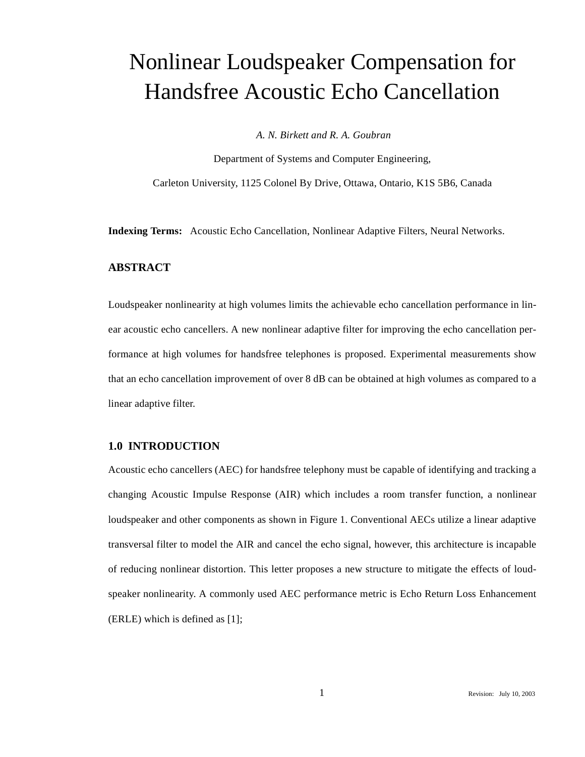# Nonlinear Loudspeaker Compensation for Handsfree Acoustic Echo Cancellation

*A. N. Birkett and R. A. Goubran*

Department of Systems and Computer Engineering,

Carleton University, 1125 Colonel By Drive, Ottawa, Ontario, K1S 5B6, Canada

**Indexing Terms:** Acoustic Echo Cancellation, Nonlinear Adaptive Filters, Neural Networks.

#### **ABSTRACT**

Loudspeaker nonlinearity at high volumes limits the achievable echo cancellation performance in linear acoustic echo cancellers. A new nonlinear adaptive filter for improving the echo cancellation performance at high volumes for handsfree telephones is proposed. Experimental measurements show that an echo cancellation improvement of over 8 dB can be obtained at high volumes as compared to a linear adaptive filter.

#### **1.0 INTRODUCTION**

Acoustic echo cancellers (AEC) for handsfree telephony must be capable of identifying and tracking a changing Acoustic Impulse Response (AIR) which includes a room transfer function, a nonlinear loudspeaker and other components as shown in Figure 1. Conventional AECs utilize a linear adaptive transversal filter to model the AIR and cancel the echo signal, however, this architecture is incapable of reducing nonlinear distortion. This letter proposes a new structure to mitigate the effects of loudspeaker nonlinearity. A commonly used AEC performance metric is Echo Return Loss Enhancement (ERLE) which is defined as [1];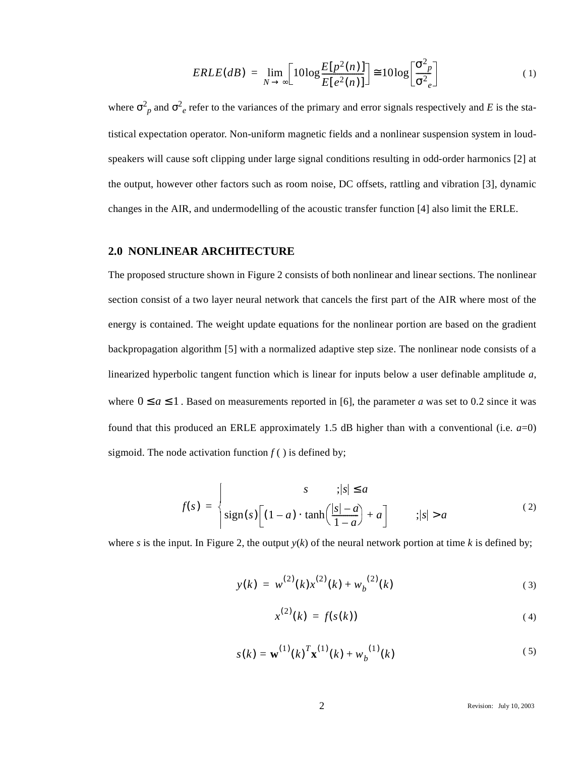$$
ERLE(dB) = \lim_{N \to \infty} \left[ 10 \log \frac{E[p^2(n)]}{E[e^2(n)]} \right] \approx 10 \log \left[ \frac{\sigma^2_p}{\sigma^2_e} \right] \tag{1}
$$

where  $\sigma_p^2$  and  $\sigma_e^2$  refer to the variances of the primary and error signals respectively and *E* is the statistical expectation operator. Non-uniform magnetic fields and a nonlinear suspension system in loudspeakers will cause soft clipping under large signal conditions resulting in odd-order harmonics [2] at the output, however other factors such as room noise, DC offsets, rattling and vibration [3], dynamic changes in the AIR, and undermodelling of the acoustic transfer function [4] also limit the ERLE.

#### **2.0 NONLINEAR ARCHITECTURE**

The proposed structure shown in Figure 2 consists of both nonlinear and linear sections. The nonlinear section consist of a two layer neural network that cancels the first part of the AIR where most of the energy is contained. The weight update equations for the nonlinear portion are based on the gradient backpropagation algorithm [5] with a normalized adaptive step size. The nonlinear node consists of a linearized hyperbolic tangent function which is linear for inputs below a user definable amplitude *a*, where  $0 \le a \le 1$ . Based on measurements reported in [6], the parameter *a* was set to 0.2 since it was found that this produced an ERLE approximately 1.5 dB higher than with a conventional (i.e.  $a=0$ ) sigmoid. The node activation function  $f()$  is defined by;

$$
f(s) = \begin{cases} s & ; |s| \le a \\ \text{sign}(s) \Big[ (1-a) \cdot \tanh\Big(\frac{|s|-a}{1-a}\Big) + a \Big] & ; |s| > a \end{cases}
$$
 (2)

where *s* is the input. In Figure 2, the output *y*(*k*) of the neural network portion at time *k* is defined by;

$$
y(k) = w^{(2)}(k)x^{(2)}(k) + w_b^{(2)}(k)
$$
\n(3)

$$
x^{(2)}(k) = f(s(k))
$$
 (4)

$$
s(k) = \mathbf{w}^{(1)}(k)^T \mathbf{x}^{(1)}(k) + w_b^{(1)}(k)
$$
 (5)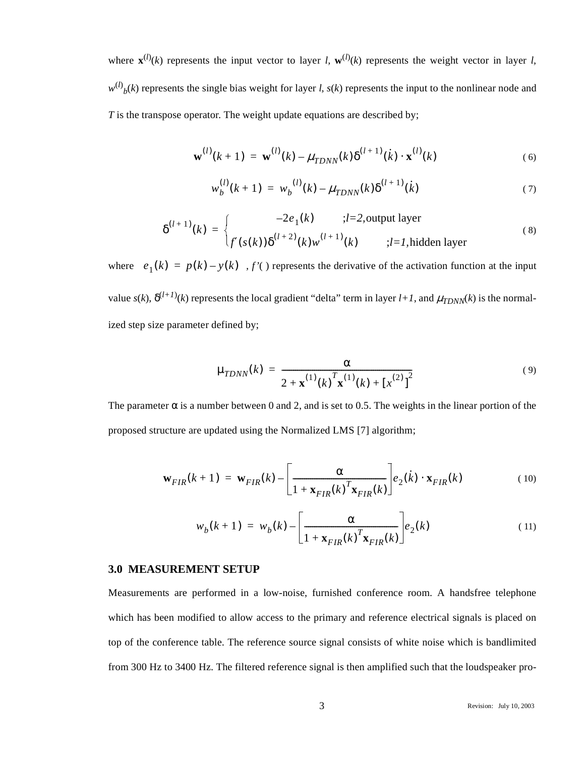where  $\mathbf{x}^{(l)}(k)$  represents the input vector to layer *l*,  $\mathbf{w}^{(l)}(k)$  represents the weight vector in layer *l*,  $w^{(l)}(k)$  represents the single bias weight for layer *l, s*(*k*) represents the input to the nonlinear node and *T* is the transpose operator. The weight update equations are described by;

$$
\mathbf{w}^{(l)}(k+1) = \mathbf{w}^{(l)}(k) - \mu_{T DNN}(k) \delta^{(l+1)}(k) \cdot \mathbf{x}^{(l)}(k)
$$
 (6)

$$
w_b^{(l)}(k+1) = w_b^{(l)}(k) - \mu_{TDNN}(k)\delta^{(l+1)}(\dot{k})
$$
\n(7)

$$
\delta^{(l+1)}(k) = \begin{cases}\n-2e_1(k) & ;l=2, \text{output layer} \\
f'(s(k))\delta^{(l+2)}(k)w^{(l+1)}(k) & ;l=l, \text{hidden layer}\n\end{cases}
$$
\n(8)

where  $e_1(k) = p(k) - y(k)$ ,  $f'(k)$  represents the derivative of the activation function at the input value  $s(k)$ ,  $\delta^{(l+1)}(k)$  represents the local gradient "delta" term in layer  $l+1$ , and  $\mu_{TDNN}(k)$  is the normalized step size parameter defined by;

$$
\mu_{T DNN}(k) = \frac{\alpha}{2 + \mathbf{x}^{(1)}(k)^T \mathbf{x}^{(1)}(k) + [x^{(2)}]^2}
$$
(9)

The parameter  $\alpha$  is a number between 0 and 2, and is set to 0.5. The weights in the linear portion of the proposed structure are updated using the Normalized LMS [7] algorithm;

$$
\mathbf{w}_{FIR}(k+1) = \mathbf{w}_{FIR}(k) - \left[\frac{\alpha}{1 + \mathbf{x}_{FIR}(k)^T \mathbf{x}_{FIR}(k)}\right] e_2(k) \cdot \mathbf{x}_{FIR}(k)
$$
(10)

$$
w_b(k+1) = w_b(k) - \left[\frac{\alpha}{1 + \mathbf{x}_{FIR}(k)^T \mathbf{x}_{FIR}(k)}\right] e_2(k)
$$
 (11)

#### **3.0 MEASUREMENT SETUP**

Measurements are performed in a low-noise, furnished conference room. A handsfree telephone which has been modified to allow access to the primary and reference electrical signals is placed on top of the conference table. The reference source signal consists of white noise which is bandlimited from 300 Hz to 3400 Hz. The filtered reference signal is then amplified such that the loudspeaker pro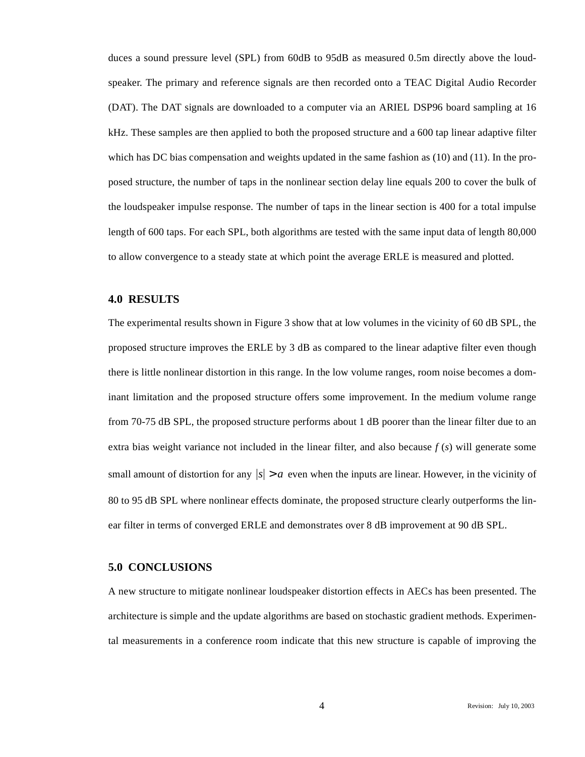duces a sound pressure level (SPL) from 60dB to 95dB as measured 0.5m directly above the loudspeaker. The primary and reference signals are then recorded onto a TEAC Digital Audio Recorder (DAT). The DAT signals are downloaded to a computer via an ARIEL DSP96 board sampling at 16 kHz. These samples are then applied to both the proposed structure and a 600 tap linear adaptive filter which has DC bias compensation and weights updated in the same fashion as (10) and (11). In the proposed structure, the number of taps in the nonlinear section delay line equals 200 to cover the bulk of the loudspeaker impulse response. The number of taps in the linear section is 400 for a total impulse length of 600 taps. For each SPL, both algorithms are tested with the same input data of length 80,000 to allow convergence to a steady state at which point the average ERLE is measured and plotted.

#### **4.0 RESULTS**

The experimental results shown in Figure 3 show that at low volumes in the vicinity of 60 dB SPL, the proposed structure improves the ERLE by 3 dB as compared to the linear adaptive filter even though there is little nonlinear distortion in this range. In the low volume ranges, room noise becomes a dominant limitation and the proposed structure offers some improvement. In the medium volume range from 70-75 dB SPL, the proposed structure performs about 1 dB poorer than the linear filter due to an extra bias weight variance not included in the linear filter, and also because *f* (*s*) will generate some small amount of distortion for any  $|s| > a$  even when the inputs are linear. However, in the vicinity of 80 to 95 dB SPL where nonlinear effects dominate, the proposed structure clearly outperforms the linear filter in terms of converged ERLE and demonstrates over 8 dB improvement at 90 dB SPL.

#### **5.0 CONCLUSIONS**

A new structure to mitigate nonlinear loudspeaker distortion effects in AECs has been presented. The architecture is simple and the update algorithms are based on stochastic gradient methods. Experimental measurements in a conference room indicate that this new structure is capable of improving the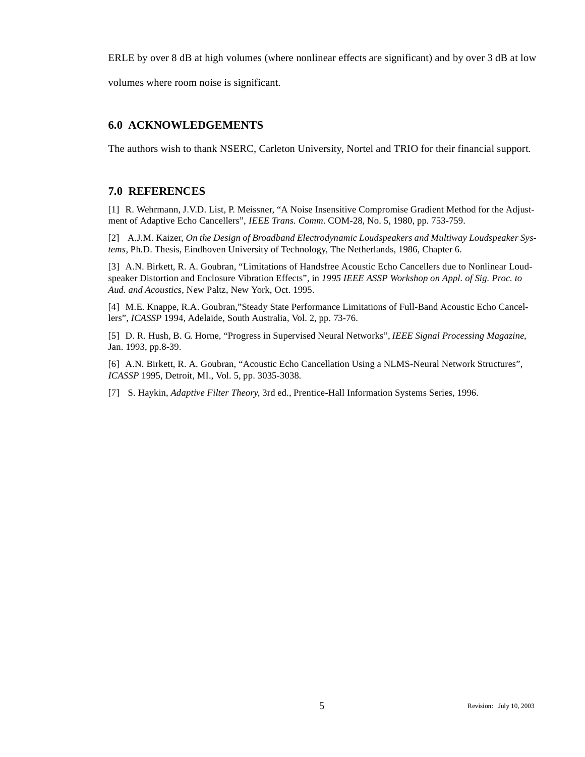ERLE by over 8 dB at high volumes (where nonlinear effects are significant) and by over 3 dB at low

volumes where room noise is significant.

### **6.0 ACKNOWLEDGEMENTS**

The authors wish to thank NSERC, Carleton University, Nortel and TRIO for their financial support.

## **7.0 REFERENCES**

[1] R. Wehrmann, J.V.D. List, P. Meissner, "A Noise Insensitive Compromise Gradient Method for the Adjustment of Adaptive Echo Cancellers", *IEEE Trans. Comm*. COM-28, No. 5, 1980, pp. 753-759.

[2] A.J.M. Kaizer, *On the Design of Broadband Electrodynamic Loudspeakers and Multiway Loudspeaker Systems*, Ph.D. Thesis, Eindhoven University of Technology, The Netherlands, 1986, Chapter 6.

[3] A.N. Birkett, R. A. Goubran, "Limitations of Handsfree Acoustic Echo Cancellers due to Nonlinear Loudspeaker Distortion and Enclosure Vibration Effects", in *1995 IEEE ASSP Workshop on Appl. of Sig. Proc. to Aud. and Acoustics*, New Paltz, New York, Oct. 1995.

[4] M.E. Knappe, R.A. Goubran,"Steady State Performance Limitations of Full-Band Acoustic Echo Cancellers", *ICASSP* 1994, Adelaide, South Australia, Vol. 2, pp. 73-76.

[5] D. R. Hush, B. G. Horne, "Progress in Supervised Neural Networks", *IEEE Signal Processing Magazine*, Jan. 1993, pp.8-39.

[6] A.N. Birkett, R. A. Goubran, "Acoustic Echo Cancellation Using a NLMS-Neural Network Structures", *ICASSP* 1995, Detroit, MI., Vol. 5, pp. 3035-3038.

[7] S. Haykin, *Adaptive Filter Theory*, 3rd ed., Prentice-Hall Information Systems Series, 1996.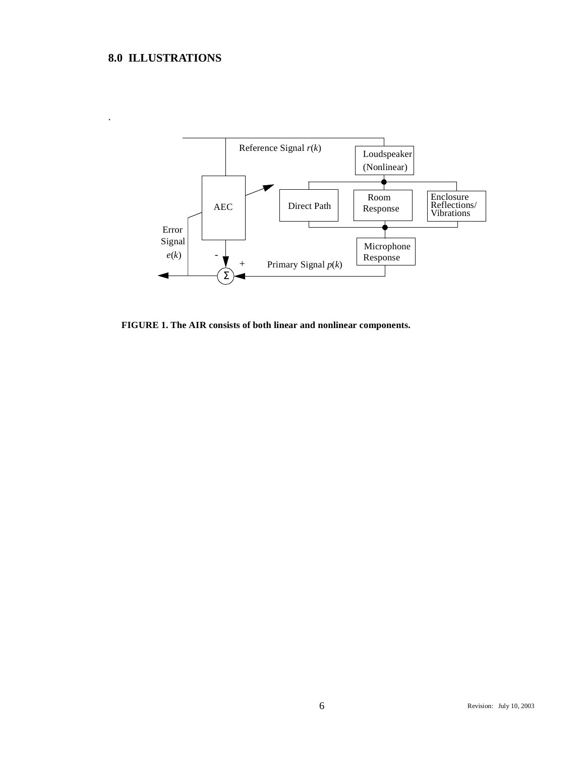# **8.0 ILLUSTRATIONS**

.



**FIGURE 1. The AIR consists of both linear and nonlinear components.**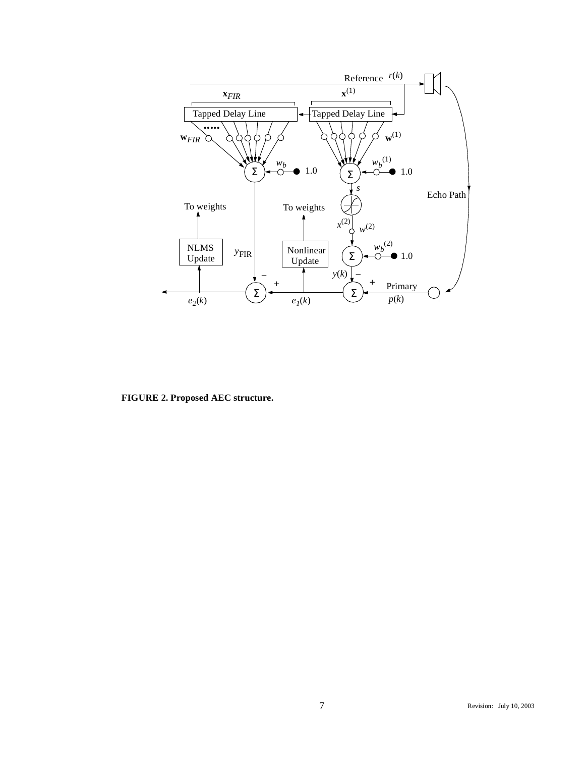

**FIGURE 2. Proposed AEC structure.**